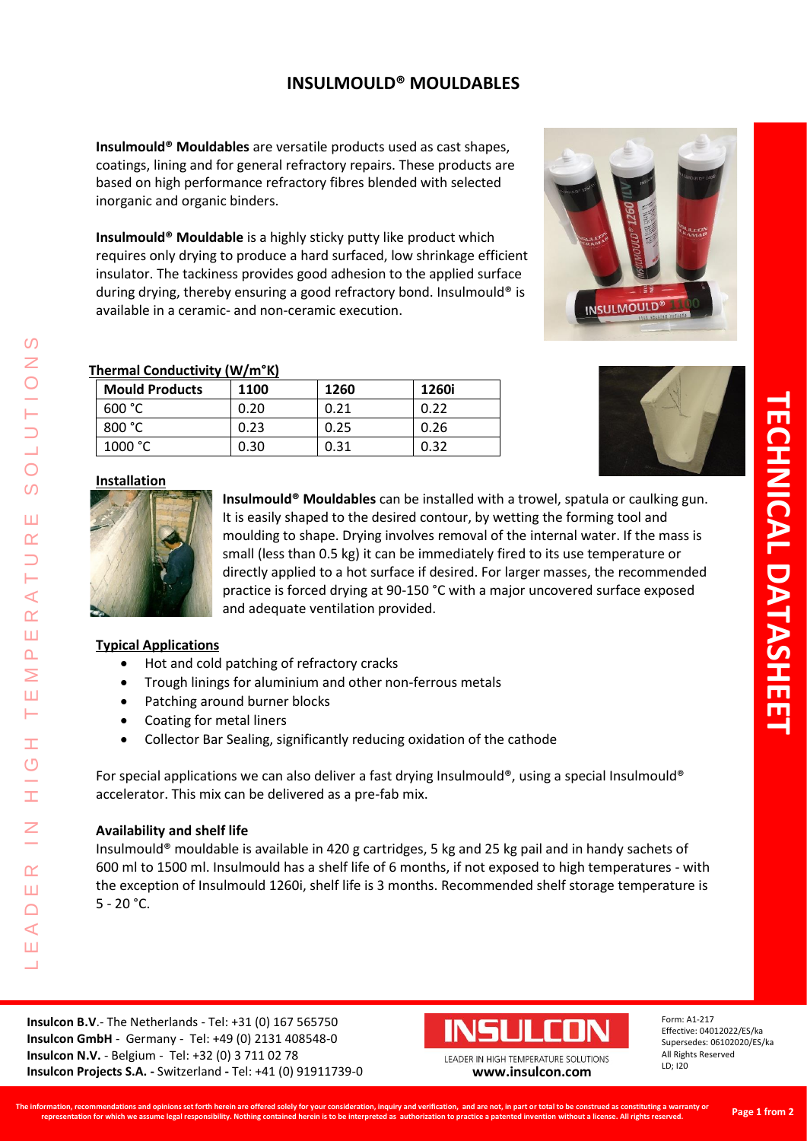## **INSULMOULD® MOULDABLES**

**Insulmould® Mouldables** are versatile products used as cast shapes, coatings, lining and for general refractory repairs. These products are based on high performance refractory fibres blended with selected inorganic and organic binders.

**Insulmould® Mouldable** is a highly sticky putty like product which requires only drying to produce a hard surfaced, low shrinkage efficient insulator. The tackiness provides good adhesion to the applied surface during drying, thereby ensuring a good refractory bond. Insulmould® is available in a ceramic- and non-ceramic execution.



#### **Thermal Conductivity (W/m°K)**

| <b>Mould Products</b> | 1100 | 1260 | 1260i |
|-----------------------|------|------|-------|
| 600 °C                | 0.20 | 0.21 | 0.22  |
| 800 °C                | 0.23 | 0.25 | 0.26  |
| 1000 °C               | 0.30 | 0.31 | 0.32  |



### **Installation**



**Insulmould® Mouldables** can be installed with a trowel, spatula or caulking gun. It is easily shaped to the desired contour, by wetting the forming tool and moulding to shape. Drying involves removal of the internal water. If the mass is small (less than 0.5 kg) it can be immediately fired to its use temperature or directly applied to a hot surface if desired. For larger masses, the recommended practice is forced drying at 90-150 °C with a major uncovered surface exposed and adequate ventilation provided.

#### **Typical Applications**

L E A D E R I N H I G H T E M P E R A T U R E S O L U T I O N S

Ŧ Ō

 $\alpha$ Ш  $\Box$  $\blacktriangleleft$ Ш  $\overline{\phantom{0}}$ 

 $\prec$  $\alpha$ Ш  $\Delta$  $\overline{\ge}$ Ш ⊢

 $\Omega$ Z

 $\overline{O}$  $\Omega$ 

Ш œ

- Hot and cold patching of refractory cracks
- Trough linings for aluminium and other non-ferrous metals
- Patching around burner blocks
- Coating for metal liners
- Collector Bar Sealing, significantly reducing oxidation of the cathode

For special applications we can also deliver a fast drying Insulmould®, using a special Insulmould® accelerator. This mix can be delivered as a pre-fab mix.

#### **Availability and shelf life**

Insulmould® mouldable is available in 420 g cartridges, 5 kg and 25 kg pail and in handy sachets of 600 ml to 1500 ml. Insulmould has a shelf life of 6 months, if not exposed to high temperatures - with the exception of Insulmould 1260i, shelf life is 3 months. Recommended shelf storage temperature is  $5 - 20$  °C.

**Insulcon B.V**.- The Netherlands - Tel: +31 (0) 167 565750 **Insulcon GmbH** - Germany - Tel: +49 (0) 2131 408548-0 **Insulcon N.V.** - Belgium - Tel: +32 (0) 3 711 02 78 **Insulcon Projects S.A. -** Switzerland **-** Tel: +41 (0) 91911739-0 **SS** 



Form: A1-217 Effective: 04012022/ES/ka Supersedes: 06102020/ES/ka All Rights Reserved LD; I20

Page 1 of 1

LEADER IN HIGH TEMPERATURE SOLUTIONS **[www.insulcon.com](http://www.insulcon.com/)**